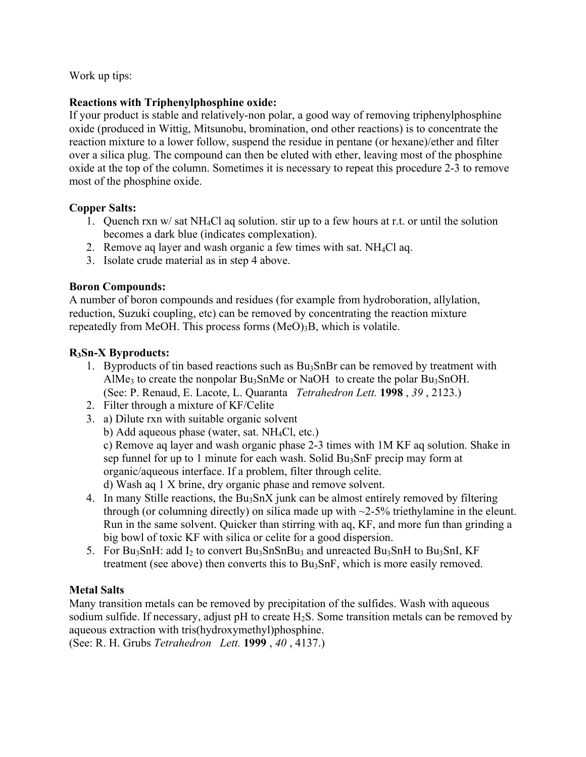Work up tips:

# **Reactions with Triphenylphosphine oxide:**

If your product is stable and relatively-non polar, a good way of removing triphenylphosphine oxide (produced in Wittig, Mitsunobu, bromination, ond other reactions) is to concentrate the reaction mixture to a lower follow, suspend the residue in pentane (or hexane)/ether and filter over a silica plug. The compound can then be eluted with ether, leaving most of the phosphine oxide at the top of the column. Sometimes it is necessary to repeat this procedure 2-3 to remove most of the phosphine oxide.

# **Copper Salts:**

- 1. Quench rxn w/ sat NH4Cl aq solution. stir up to a few hours at r.t. or until the solution becomes a dark blue (indicates complexation).
- 2. Remove aq layer and wash organic a few times with sat.  $NH<sub>4</sub>Cl$  aq.
- 3. Isolate crude material as in step 4 above.

# **Boron Compounds:**

A number of boron compounds and residues (for example from hydroboration, allylation, reduction, Suzuki coupling, etc) can be removed by concentrating the reaction mixture repeatedly from MeOH. This process forms  $(MeO)<sub>3</sub>B$ , which is volatile.

# **R3Sn-X Byproducts:**

- 1. Byproducts of tin based reactions such as  $Bu_3SnBr$  can be removed by treatment with AlMe<sub>3</sub> to create the nonpolar Bu<sub>3</sub>SnMe or NaOH to create the polar Bu<sub>3</sub>SnOH. (See: P. Renaud, E. Lacote, L. Quaranta *Tetrahedron Lett.* **1998** , *39* , 2123.)
- 2. Filter through a mixture of KF/Celite
- 3. a) Dilute rxn with suitable organic solvent
	- b) Add aqueous phase (water, sat. NH4Cl, etc.)

c) Remove aq layer and wash organic phase 2-3 times with 1M KF aq solution. Shake in sep funnel for up to 1 minute for each wash. Solid  $Bu<sub>3</sub>SnF$  precip may form at organic/aqueous interface. If a problem, filter through celite. d) Wash aq 1 X brine, dry organic phase and remove solvent.

- 4. In many Stille reactions, the Bu<sub>3</sub>SnX junk can be almost entirely removed by filtering through (or columning directly) on silica made up with  $\sim$ 2-5% triethylamine in the eleunt.
- Run in the same solvent. Quicker than stirring with aq, KF, and more fun than grinding a big bowl of toxic KF with silica or celite for a good dispersion.
- 5. For Bu<sub>3</sub>SnH: add  $I_2$  to convert Bu<sub>3</sub>SnSnBu<sub>3</sub> and unreacted Bu<sub>3</sub>SnH to Bu<sub>3</sub>SnI, KF treatment (see above) then converts this to Bu<sub>3</sub>SnF, which is more easily removed.

# **Metal Salts**

Many transition metals can be removed by precipitation of the sulfides. Wash with aqueous sodium sulfide. If necessary, adjust  $pH$  to create  $H_2S$ . Some transition metals can be removed by aqueous extraction with tris(hydroxymethyl)phosphine. (See: R. H. Grubs *Tetrahedron Lett.* **1999** , *40* , 4137.)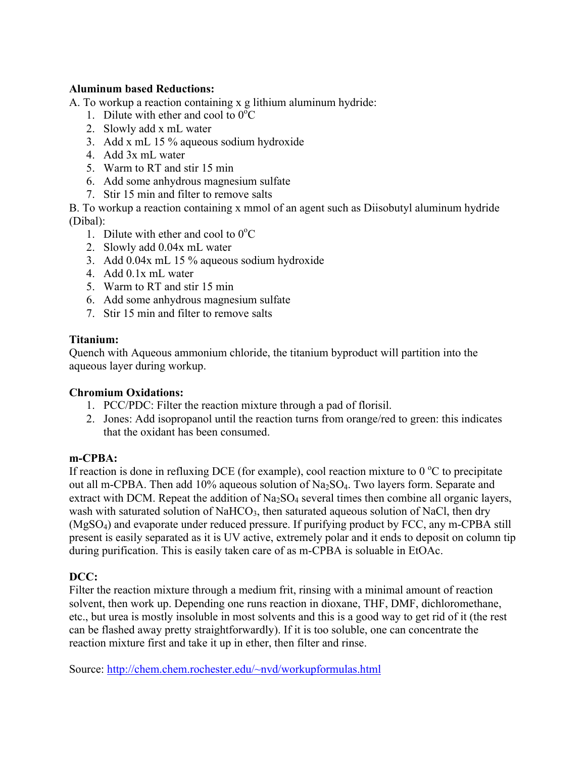### **Aluminum based Reductions:**

A. To workup a reaction containing x g lithium aluminum hydride:

- 1. Dilute with ether and cool to  $0^{\circ}$ C
- 2. Slowly add x mL water
- 3. Add x mL 15 % aqueous sodium hydroxide
- 4. Add 3x mL water
- 5. Warm to RT and stir 15 min
- 6. Add some anhydrous magnesium sulfate
- 7. Stir 15 min and filter to remove salts

B. To workup a reaction containing x mmol of an agent such as Diisobutyl aluminum hydride (Dibal):

- 1. Dilute with ether and cool to  $0^{\circ}$ C
- 2. Slowly add 0.04x mL water
- 3. Add 0.04x mL 15 % aqueous sodium hydroxide
- 4. Add 0.1x mL water
- 5. Warm to RT and stir 15 min
- 6. Add some anhydrous magnesium sulfate
- 7. Stir 15 min and filter to remove salts

# **Titanium:**

Quench with Aqueous ammonium chloride, the titanium byproduct will partition into the aqueous layer during workup.

### **Chromium Oxidations:**

- 1. PCC/PDC: Filter the reaction mixture through a pad of florisil.
- 2. Jones: Add isopropanol until the reaction turns from orange/red to green: this indicates that the oxidant has been consumed.

### **m-CPBA:**

If reaction is done in refluxing DCE (for example), cool reaction mixture to  $0^{\circ}$ C to precipitate out all m-CPBA. Then add  $10\%$  aqueous solution of Na<sub>2</sub>SO<sub>4</sub>. Two layers form. Separate and extract with DCM. Repeat the addition of  $Na<sub>2</sub>SO<sub>4</sub>$  several times then combine all organic layers, wash with saturated solution of NaHCO<sub>3</sub>, then saturated aqueous solution of NaCl, then dry (MgSO4) and evaporate under reduced pressure. If purifying product by FCC, any m-CPBA still present is easily separated as it is UV active, extremely polar and it ends to deposit on column tip during purification. This is easily taken care of as m-CPBA is soluable in EtOAc.

# **DCC:**

Filter the reaction mixture through a medium frit, rinsing with a minimal amount of reaction solvent, then work up. Depending one runs reaction in dioxane, THF, DMF, dichloromethane, etc., but urea is mostly insoluble in most solvents and this is a good way to get rid of it (the rest can be flashed away pretty straightforwardly). If it is too soluble, one can concentrate the reaction mixture first and take it up in ether, then filter and rinse.

Source: http://chem.chem.rochester.edu/~nvd/workupformulas.html